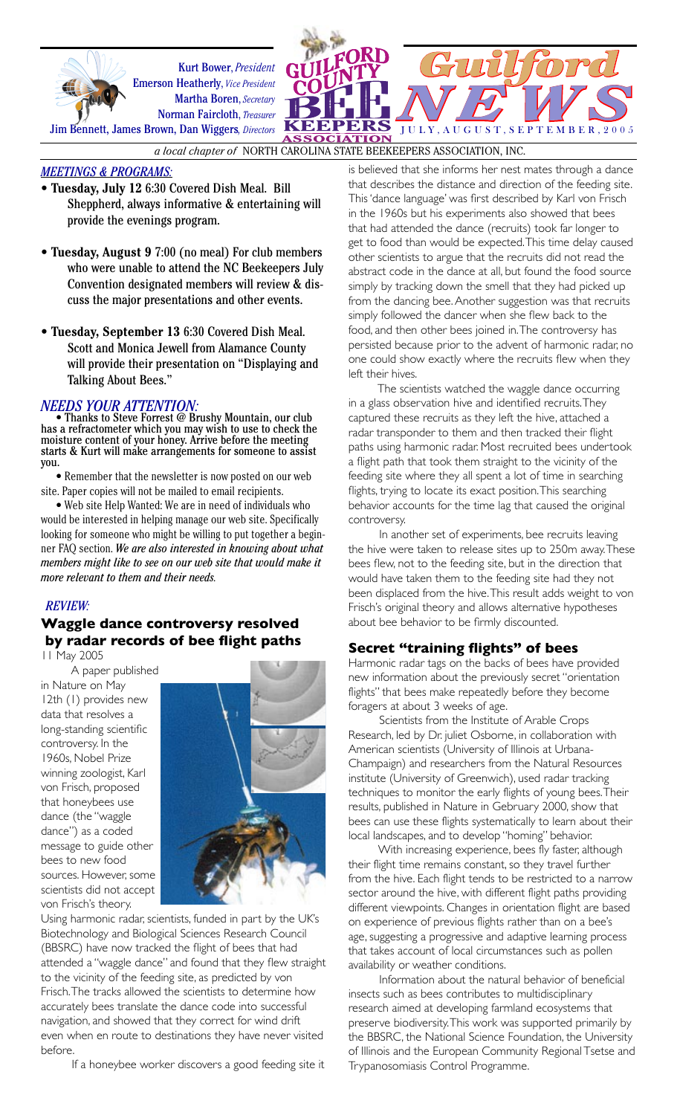



*a local chapter of* NORTH CAROLINA STATE BEEKEEPERS ASSOCIATION, INC.

### *MEETINGS & PROGRAMS:*

- **Tuesday, July 12** 6:30 Covered Dish Meal. Bill Sheppherd, always informative & entertaining will provide the evenings program.
- **Tuesday, August 9** 7:00 (no meal) For club members who were unable to attend the NC Beekeepers July Convention designated members will review & discuss the major presentations and other events.
- **Tuesday, September 13** 6:30 Covered Dish Meal. Scott and Monica Jewell from Alamance County will provide their presentation on "Displaying and Talking About Bees."

*NEEDS YOUR ATTENTION:*<br>• Thanks to Steve Forrest @ Brushy Mountain, our club has a refractometer which you may wish to use to check the moisture content of your honey. Arrive before the meeting starts & Kurt will make arrangements for someone to assist you.

 • Remember that the newsletter is now posted on our web site. Paper copies will not be mailed to email recipients.

 • Web site Help Wanted: We are in need of individuals who would be interested in helping manage our web site. Specifically looking for someone who might be willing to put together a beginner FAQ section. *We are also interested in knowing about what members might like to see on our web site that would make it more relevant to them and their needs.*

# *REVIEW:*

# **Waggle dance controversy resolved by radar records of bee flight paths**

11 May 2005

A paper published in Nature on May   12th (1) provides new data that resolves a long-standing scientific controversy. In the 1960s, Nobel Prize winning zoologist, Karl von Frisch, proposed that honeybees use dance (the "waggle  $dance''$ ) as a coded message to guide other bees to new food sources. However, some scientists did not accept von Frisch's theory.  $\overline{1}$  , and  $\overline{2}$  , and  $\overline{3}$  , and  $\overline{3}$  , and  $\overline{3}$ 



Using harmonic radar, scientists, funded in part by the UK's Biotechnology and Biological Sciences Research Council (BBSRC) have now tracked the flight of bees that had attended a "waggle dance" and found that they flew straight to the vicinity of the feeding site, as predicted by von Frisch. The tracks allowed the scientists to determine how accurately bees translate the dance code into successful navigation, and showed that they correct for wind drift even when en route to destinations they have never visited before.  $\frac{1}{2}$  .  $\frac{1}{2}$  ,  $\frac{1}{2}$  ,  $\frac{1}{2}$  ,  $\frac{1}{2}$  ,  $\frac{1}{2}$  ,  $\frac{1}{2}$  ,  $\frac{1}{2}$  ,  $\frac{1}{2}$  ,  $\frac{1}{2}$  ,  $\frac{1}{2}$  ,  $\frac{1}{2}$  ,  $\frac{1}{2}$  ,  $\frac{1}{2}$  ,  $\frac{1}{2}$  ,  $\frac{1}{2}$  ,  $\frac{1}{2}$  ,  $\frac{1}{2}$  ,  $\frac{1$ 

If a honeybee worker discovers a good feeding site it

is believed that she informs her nest mates through a dance that describes the distance and direction of the feeding site. This 'dance language' was first described by Karl von Frisch in the 1960s but his experiments also showed that bees that had attended the dance (recruits) took far longer to get to food than would be expected. This time delay caused other scientists to argue that the recruits did not read the abstract code in the dance at all, but found the food source simply by tracking down the smell that they had picked up from the dancing bee. Another suggestion was that recruits simply followed the dancer when she flew back to the food, and then other bees joined in. The controversy has persisted because prior to the advent of harmonic radar, no one could show exactly where the recruits flew when they left their hives.

The scientists watched the waggle dance occurring in a glass observation hive and identified recruits. They captured these recruits as they left the hive, attached a radar transponder to them and then tracked their flight paths using harmonic radar. Most recruited bees undertook a flight path that took them straight to the vicinity of the feeding site where they all spent a lot of time in searching flights, trying to locate its exact position. This searching behavior accounts for the time lag that caused the original controversy.

In another set of experiments, bee recruits leaving the hive were taken to release sites up to 250m away. These bees flew, not to the feeding site, but in the direction that would have taken them to the feeding site had they not been displaced from the hive. This result adds weight to von Frisch's original theory and allows alternative hypotheses about bee behavior to be firmly discounted.

# **Secret "training flights" of bees**

Harmonic radar tags on the backs of bees have provided new information about the previously secret "orientation flights" that bees make repeatedly before they become foragers at about 3 weeks of age.

Scientists from the Institute of Arable Crops Research, led by Dr. juliet Osborne, in collaboration with American scientists (University of Illinois at Urbana-Champaign) and researchers from the Natural Resources institute (University of Greenwich), used radar tracking techniques to monitor the early flights of young bees. Their results, published in Nature in Gebruary 2000, show that bees can use these flights systematically to learn about their local landscapes, and to develop "homing" behavior.

With increasing experience, bees fly faster, although their flight time remains constant, so they travel further from the hive. Each flight tends to be restricted to a narrow sector around the hive, with different flight paths providing different viewpoints. Changes in orientation flight are based on experience of previous flights rather than on a bee's age, suggesting a progressive and adaptive learning process that takes account of local circumstances such as pollen availability or weather conditions.

Information about the natural behavior of beneficial insects such as bees contributes to multidisciplinary research aimed at developing farmland ecosystems that preserve biodiversity. This work was supported primarily by the BBSRC, the National Science Foundation, the University of Illinois and the European Community Regional Tsetse and Trypanosomiasis Control Programme.